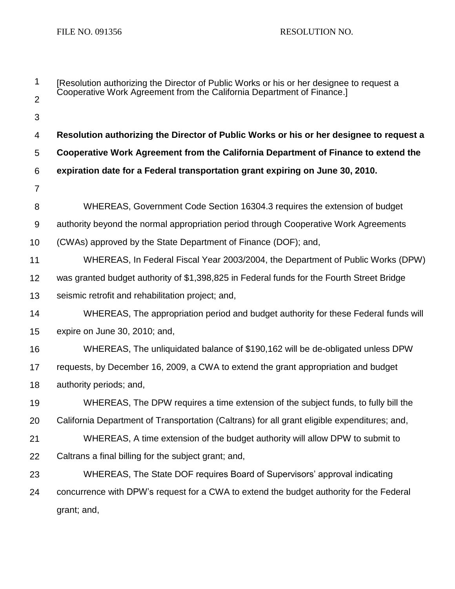| 1              | [Resolution authorizing the Director of Public Works or his or her designee to request a<br>Cooperative Work Agreement from the California Department of Finance.] |  |  |
|----------------|--------------------------------------------------------------------------------------------------------------------------------------------------------------------|--|--|
| $\overline{2}$ |                                                                                                                                                                    |  |  |
| 3              |                                                                                                                                                                    |  |  |
| 4              | Resolution authorizing the Director of Public Works or his or her designee to request a                                                                            |  |  |
| 5              | Cooperative Work Agreement from the California Department of Finance to extend the                                                                                 |  |  |
| 6              | expiration date for a Federal transportation grant expiring on June 30, 2010.                                                                                      |  |  |
| $\overline{7}$ |                                                                                                                                                                    |  |  |
| 8              | WHEREAS, Government Code Section 16304.3 requires the extension of budget                                                                                          |  |  |
| 9              | authority beyond the normal appropriation period through Cooperative Work Agreements                                                                               |  |  |
| 10             | (CWAs) approved by the State Department of Finance (DOF); and,                                                                                                     |  |  |
| 11             | WHEREAS, In Federal Fiscal Year 2003/2004, the Department of Public Works (DPW)                                                                                    |  |  |
| 12             | was granted budget authority of \$1,398,825 in Federal funds for the Fourth Street Bridge                                                                          |  |  |
| 13             | seismic retrofit and rehabilitation project; and,                                                                                                                  |  |  |
| 14             | WHEREAS, The appropriation period and budget authority for these Federal funds will                                                                                |  |  |
| 15             | expire on June 30, 2010; and,                                                                                                                                      |  |  |
| 16             | WHEREAS, The unliquidated balance of \$190,162 will be de-obligated unless DPW                                                                                     |  |  |
| 17             | requests, by December 16, 2009, a CWA to extend the grant appropriation and budget                                                                                 |  |  |
| 18             | authority periods; and,                                                                                                                                            |  |  |
| 19             | WHEREAS, The DPW requires a time extension of the subject funds, to fully bill the                                                                                 |  |  |
| 20             | California Department of Transportation (Caltrans) for all grant eligible expenditures; and,                                                                       |  |  |
| 21             | WHEREAS, A time extension of the budget authority will allow DPW to submit to                                                                                      |  |  |
| 22             | Caltrans a final billing for the subject grant; and,                                                                                                               |  |  |
| 23             | WHEREAS, The State DOF requires Board of Supervisors' approval indicating                                                                                          |  |  |
| 24             | concurrence with DPW's request for a CWA to extend the budget authority for the Federal                                                                            |  |  |
|                | grant; and,                                                                                                                                                        |  |  |